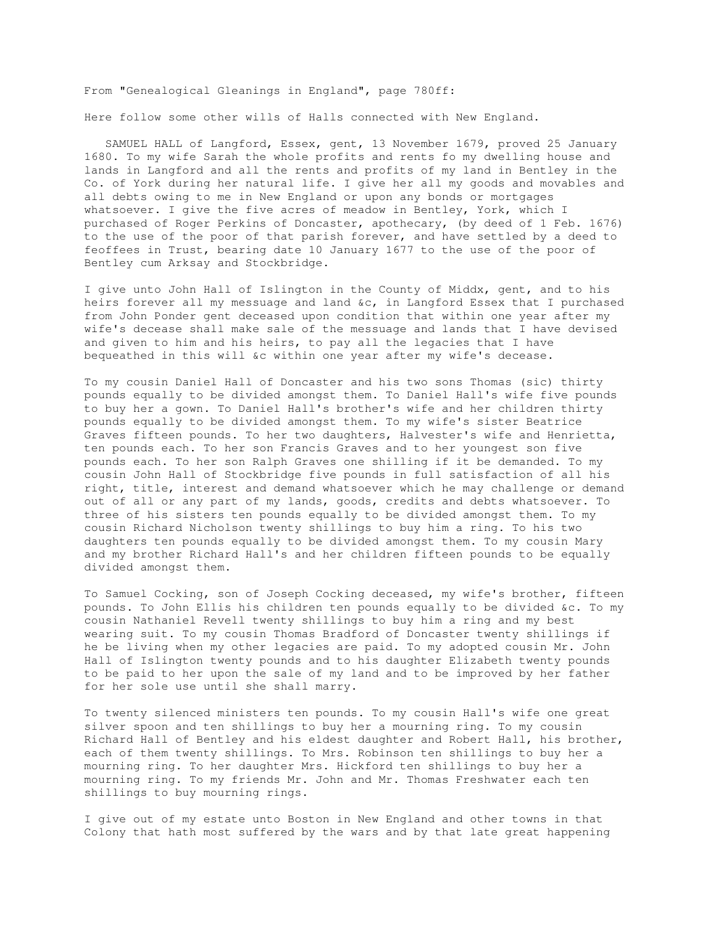From "Genealogical Gleanings in England", page 780ff:

Here follow some other wills of Halls connected with New England.

SAMUEL HALL of Langford, Essex, gent, 13 November 1679, proved 25 January 1680. To my wife Sarah the whole profits and rents fo my dwelling house and lands in Langford and all the rents and profits of my land in Bentley in the Co. of York during her natural life. I give her all my goods and movables and all debts owing to me in New England or upon any bonds or mortgages whatsoever. I give the five acres of meadow in Bentley, York, which I purchased of Roger Perkins of Doncaster, apothecary, (by deed of 1 Feb. 1676) to the use of the poor of that parish forever, and have settled by a deed to feoffees in Trust, bearing date 10 January 1677 to the use of the poor of Bentley cum Arksay and Stockbridge.

I give unto John Hall of Islington in the County of Middx, gent, and to his heirs forever all my messuage and land &c, in Langford Essex that I purchased from John Ponder gent deceased upon condition that within one year after my wife's decease shall make sale of the messuage and lands that I have devised and given to him and his heirs, to pay all the legacies that I have bequeathed in this will &c within one year after my wife's decease.

To my cousin Daniel Hall of Doncaster and his two sons Thomas (sic) thirty pounds equally to be divided amongst them. To Daniel Hall's wife five pounds to buy her a gown. To Daniel Hall's brother's wife and her children thirty pounds equally to be divided amongst them. To my wife's sister Beatrice Graves fifteen pounds. To her two daughters, Halvester's wife and Henrietta, ten pounds each. To her son Francis Graves and to her youngest son five pounds each. To her son Ralph Graves one shilling if it be demanded. To my cousin John Hall of Stockbridge five pounds in full satisfaction of all his right, title, interest and demand whatsoever which he may challenge or demand out of all or any part of my lands, goods, credits and debts whatsoever. To three of his sisters ten pounds equally to be divided amongst them. To my cousin Richard Nicholson twenty shillings to buy him a ring. To his two daughters ten pounds equally to be divided amongst them. To my cousin Mary and my brother Richard Hall's and her children fifteen pounds to be equally divided amongst them.

To Samuel Cocking, son of Joseph Cocking deceased, my wife's brother, fifteen pounds. To John Ellis his children ten pounds equally to be divided &c. To my cousin Nathaniel Revell twenty shillings to buy him a ring and my best wearing suit. To my cousin Thomas Bradford of Doncaster twenty shillings if he be living when my other legacies are paid. To my adopted cousin Mr. John Hall of Islington twenty pounds and to his daughter Elizabeth twenty pounds to be paid to her upon the sale of my land and to be improved by her father for her sole use until she shall marry.

To twenty silenced ministers ten pounds. To my cousin Hall's wife one great silver spoon and ten shillings to buy her a mourning ring. To my cousin Richard Hall of Bentley and his eldest daughter and Robert Hall, his brother, each of them twenty shillings. To Mrs. Robinson ten shillings to buy her a mourning ring. To her daughter Mrs. Hickford ten shillings to buy her a mourning ring. To my friends Mr. John and Mr. Thomas Freshwater each ten shillings to buy mourning rings.

I give out of my estate unto Boston in New England and other towns in that Colony that hath most suffered by the wars and by that late great happening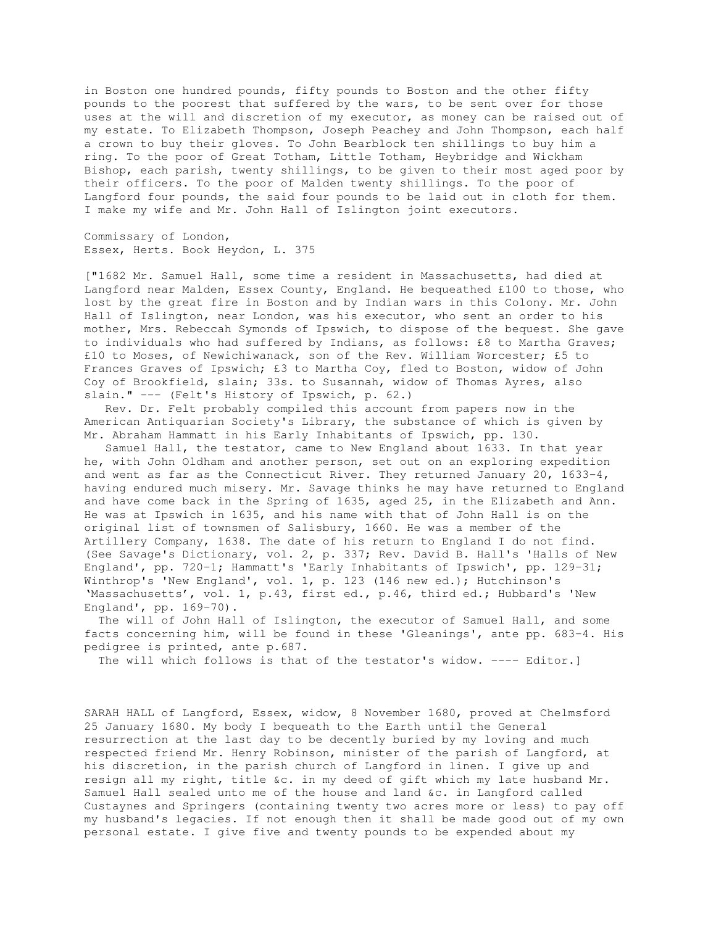in Boston one hundred pounds, fifty pounds to Boston and the other fifty pounds to the poorest that suffered by the wars, to be sent over for those uses at the will and discretion of my executor, as money can be raised out of my estate. To Elizabeth Thompson, Joseph Peachey and John Thompson, each half a crown to buy their gloves. To John Bearblock ten shillings to buy him a ring. To the poor of Great Totham, Little Totham, Heybridge and Wickham Bishop, each parish, twenty shillings, to be given to their most aged poor by their officers. To the poor of Malden twenty shillings. To the poor of Langford four pounds, the said four pounds to be laid out in cloth for them. I make my wife and Mr. John Hall of Islington joint executors.

Commissary of London, Essex, Herts. Book Heydon, L. 375

["1682 Mr. Samuel Hall, some time a resident in Massachusetts, had died at Langford near Malden, Essex County, England. He bequeathed £100 to those, who lost by the great fire in Boston and by Indian wars in this Colony. Mr. John Hall of Islington, near London, was his executor, who sent an order to his mother, Mrs. Rebeccah Symonds of Ipswich, to dispose of the bequest. She gave to individuals who had suffered by Indians, as follows: £8 to Martha Graves; £10 to Moses, of Newichiwanack, son of the Rev. William Worcester; £5 to Frances Graves of Ipswich; £3 to Martha Coy, fled to Boston, widow of John Coy of Brookfield, slain; 33s. to Susannah, widow of Thomas Ayres, also slain." --- (Felt's History of Ipswich, p. 62.)

Rev. Dr. Felt probably compiled this account from papers now in the American Antiquarian Society's Library, the substance of which is given by Mr. Abraham Hammatt in his Early Inhabitants of Ipswich, pp. 130.

Samuel Hall, the testator, came to New England about 1633. In that year he, with John Oldham and another person, set out on an exploring expedition and went as far as the Connecticut River. They returned January 20, 1633-4, having endured much misery. Mr. Savage thinks he may have returned to England and have come back in the Spring of 1635, aged 25, in the Elizabeth and Ann. He was at Ipswich in 1635, and his name with that of John Hall is on the original list of townsmen of Salisbury, 1660. He was a member of the Artillery Company, 1638. The date of his return to England I do not find. (See Savage's Dictionary, vol. 2, p. 337; Rev. David B. Hall's 'Halls of New England', pp. 720-1; Hammatt's 'Early Inhabitants of Ipswich', pp. 129-31; Winthrop's 'New England', vol. 1, p. 123 (146 new ed.); Hutchinson's 'Massachusetts', vol. 1, p.43, first ed., p.46, third ed.; Hubbard's 'New England', pp. 169-70).

The will of John Hall of Islington, the executor of Samuel Hall, and some facts concerning him, will be found in these 'Gleanings', ante pp. 683-4. His pedigree is printed, ante p.687.

The will which follows is that of the testator's widow. ---- Editor.

SARAH HALL of Langford, Essex, widow, 8 November 1680, proved at Chelmsford 25 January 1680. My body I bequeath to the Earth until the General resurrection at the last day to be decently buried by my loving and much respected friend Mr. Henry Robinson, minister of the parish of Langford, at his discretion, in the parish church of Langford in linen. I give up and resign all my right, title &c. in my deed of gift which my late husband Mr. Samuel Hall sealed unto me of the house and land &c. in Langford called Custaynes and Springers (containing twenty two acres more or less) to pay off my husband's legacies. If not enough then it shall be made good out of my own personal estate. I give five and twenty pounds to be expended about my